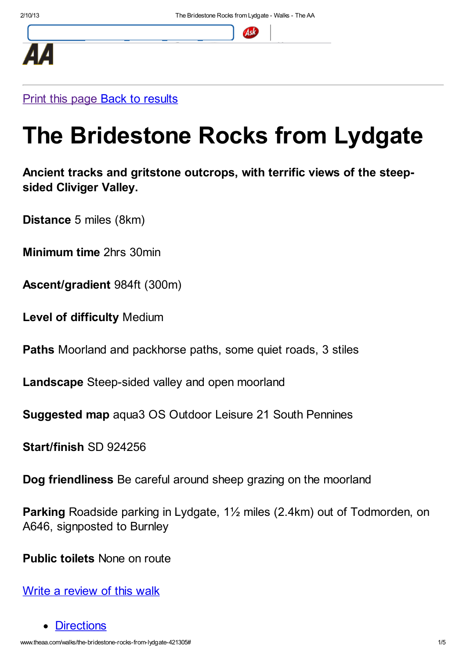**Ask** 



**Print this page Back to results** 

# The Bridestone Rocks from Lydgate

Ancient tracks and gritstone outcrops, with terrific views of the steepsided Cliviger Valley.

Distance 5 miles (8km)

Minimum time 2hrs 30min

Ascent/gradient 984ft (300m)

Level of difficulty Medium

Paths Moorland and packhorse paths, some quiet roads, 3 stiles

Landscape Steep-sided valley and open moorland

Suggested map aqua3 OS Outdoor Leisure 21 South Pennines

Start/finish SD 924256

Dog friendliness Be careful around sheep grazing on the moorland

Parking Roadside parking in Lydgate, 1½ miles (2.4km) out of Todmorden, on A646, signposted to Burnley

Public toilets None on route

Write a review of this walk

**Directions**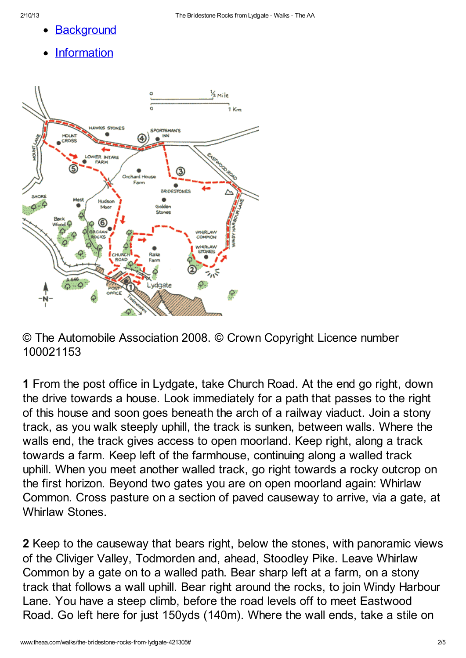- [Background](http://www.theaa.com/walks/the-bridestone-rocks-from-lydgate-421305#background)
- [Information](http://www.theaa.com/walks/the-bridestone-rocks-from-lydgate-421305#information)



© The Automobile Association 2008. © Crown Copyright Licence number 100021153

1 From the post office in Lydgate, take Church Road. At the end go right, down the drive towards a house. Look immediately for a path that passes to the right of this house and soon goes beneath the arch of a railway viaduct. Join a stony track, as you walk steeply uphill, the track is sunken, between walls. Where the walls end, the track gives access to open moorland. Keep right, along a track towards a farm. Keep left of the farmhouse, continuing along a walled track uphill. When you meet another walled track, go right towards a rocky outcrop on the first horizon. Beyond two gates you are on open moorland again: Whirlaw Common. Cross pasture on a section of paved causeway to arrive, via a gate, at Whirlaw Stones.

2 Keep to the causeway that bears right, below the stones, with panoramic views of the Cliviger Valley, Todmorden and, ahead, Stoodley Pike. Leave Whirlaw Common by a gate on to a walled path. Bear sharp left at a farm, on a stony track that follows a wall uphill. Bear right around the rocks, to join Windy Harbour Lane. You have a steep climb, before the road levels off to meet Eastwood Road. Go left here for just 150yds (140m). Where the wall ends, take a stile on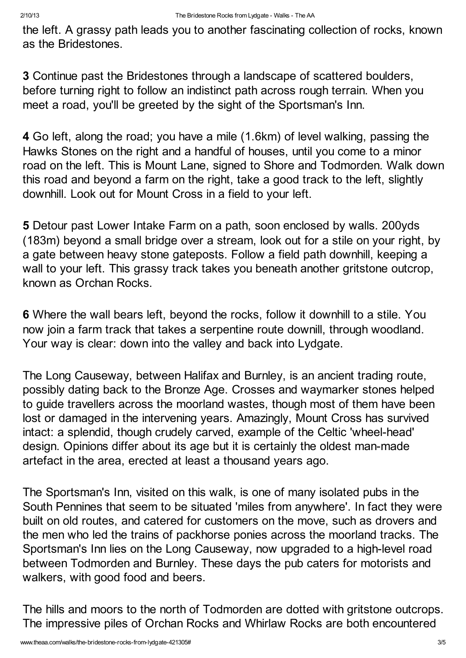the left. A grassy path leads you to another fascinating collection of rocks, known as the Bridestones.

3 Continue past the Bridestones through a landscape of scattered boulders, before turning right to follow an indistinct path across rough terrain. When you meet a road, you'll be greeted by the sight of the Sportsman's Inn.

4 Go left, along the road; you have a mile (1.6km) of level walking, passing the Hawks Stones on the right and a handful of houses, until you come to a minor road on the left. This is Mount Lane, signed to Shore and Todmorden. Walk down this road and beyond a farm on the right, take a good track to the left, slightly downhill. Look out for Mount Cross in a field to your left.

5 Detour past Lower Intake Farm on a path, soon enclosed by walls. 200yds (183m) beyond a small bridge over a stream, look out for a stile on your right, by a gate between heavy stone gateposts. Follow a field path downhill, keeping a wall to your left. This grassy track takes you beneath another gritstone outcrop, known as Orchan Rocks.

6 Where the wall bears left, beyond the rocks, follow it downhill to a stile. You now join a farm track that takes a serpentine route downill, through woodland. Your way is clear: down into the valley and back into Lydgate.

The Long Causeway, between Halifax and Burnley, is an ancient trading route, possibly dating back to the Bronze Age. Crosses and waymarker stones helped to guide travellers across the moorland wastes, though most of them have been lost or damaged in the intervening years. Amazingly, Mount Cross has survived intact: a splendid, though crudely carved, example of the Celtic 'wheel-head' design. Opinions differ about its age but it is certainly the oldest man-made artefact in the area, erected at least a thousand years ago.

The Sportsman's Inn, visited on this walk, is one of many isolated pubs in the South Pennines that seem to be situated 'miles from anywhere'. In fact they were built on old routes, and catered for customers on the move, such as drovers and the men who led the trains of packhorse ponies across the moorland tracks. The Sportsman's Inn lies on the Long Causeway, now upgraded to a high-level road between Todmorden and Burnley. These days the pub caters for motorists and walkers, with good food and beers.

The hills and moors to the north of Todmorden are dotted with gritstone outcrops. The impressive piles of Orchan Rocks and Whirlaw Rocks are both encountered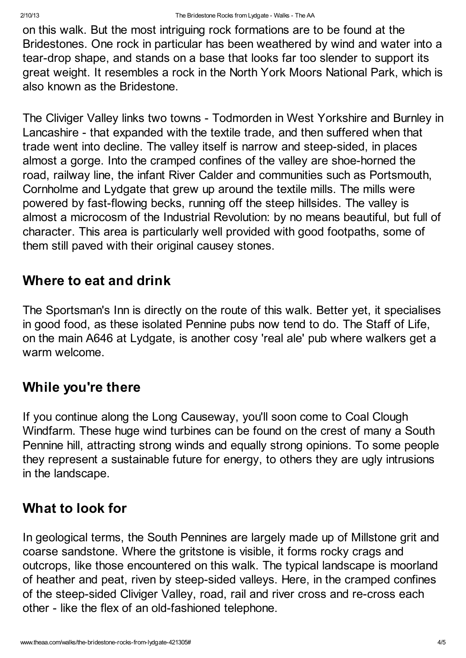on this walk. But the most intriguing rock formations are to be found at the Bridestones. One rock in particular has been weathered by wind and water into a tear-drop shape, and stands on a base that looks far too slender to support its great weight. It resembles a rock in the North York Moors National Park, which is also known as the Bridestone.

The Cliviger Valley links two towns - Todmorden in West Yorkshire and Burnley in Lancashire - that expanded with the textile trade, and then suffered when that trade went into decline. The valley itself is narrow and steep-sided, in places almost a gorge. Into the cramped confines of the valley are shoe-horned the road, railway line, the infant River Calder and communities such as Portsmouth, Cornholme and Lydgate that grew up around the textile mills. The mills were powered by fast-flowing becks, running off the steep hillsides. The valley is almost a microcosm of the Industrial Revolution: by no means beautiful, but full of character. This area is particularly well provided with good footpaths, some of them still paved with their original causey stones.

#### Where to eat and drink

The Sportsman's Inn is directly on the route of this walk. Better yet, it specialises in good food, as these isolated Pennine pubs now tend to do. The Staff of Life, on the main A646 at Lydgate, is another cosy 'real ale' pub where walkers get a warm welcome.

## While you're there

If you continue along the Long Causeway, you'll soon come to Coal Clough Windfarm. These huge wind turbines can be found on the crest of many a South Pennine hill, attracting strong winds and equally strong opinions. To some people they represent a sustainable future for energy, to others they are ugly intrusions in the landscape.

### What to look for

In geological terms, the South Pennines are largely made up of Millstone grit and coarse sandstone. Where the gritstone is visible, it forms rocky crags and outcrops, like those encountered on this walk. The typical landscape is moorland of heather and peat, riven by steep-sided valleys. Here, in the cramped confines of the steep-sided Cliviger Valley, road, rail and river cross and re-cross each other - like the flex of an old-fashioned telephone.